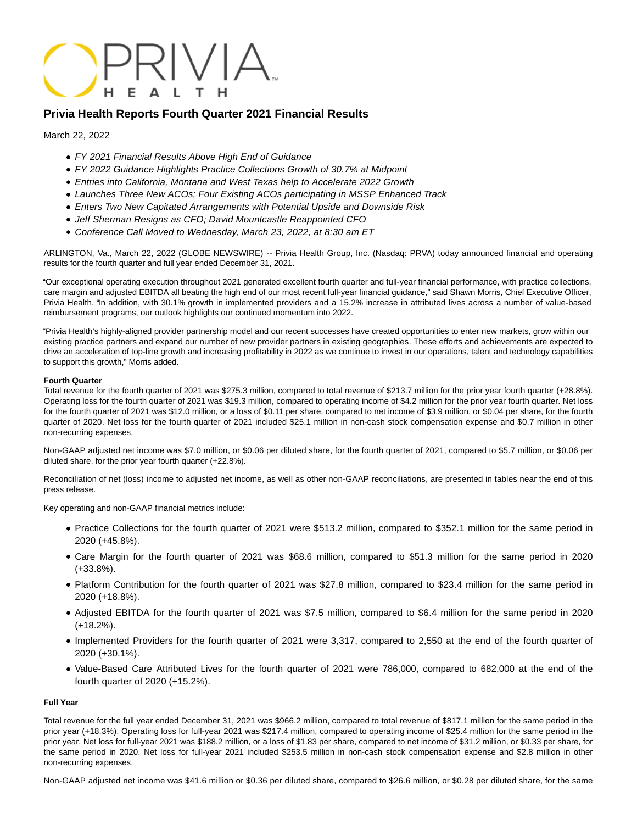

## **Privia Health Reports Fourth Quarter 2021 Financial Results**

March 22, 2022

- FY 2021 Financial Results Above High End of Guidance
- FY 2022 Guidance Highlights Practice Collections Growth of 30.7% at Midpoint
- Entries into California, Montana and West Texas help to Accelerate 2022 Growth
- Launches Three New ACOs; Four Existing ACOs participating in MSSP Enhanced Track
- Enters Two New Capitated Arrangements with Potential Upside and Downside Risk
- Jeff Sherman Resigns as CFO; David Mountcastle Reappointed CFO
- Conference Call Moved to Wednesday, March 23, 2022, at 8:30 am ET

ARLINGTON, Va., March 22, 2022 (GLOBE NEWSWIRE) -- Privia Health Group, Inc. (Nasdaq: PRVA) today announced financial and operating results for the fourth quarter and full year ended December 31, 2021.

"Our exceptional operating execution throughout 2021 generated excellent fourth quarter and full-year financial performance, with practice collections, care margin and adjusted EBITDA all beating the high end of our most recent full-year financial guidance," said Shawn Morris, Chief Executive Officer, Privia Health. "In addition, with 30.1% growth in implemented providers and a 15.2% increase in attributed lives across a number of value-based reimbursement programs, our outlook highlights our continued momentum into 2022.

"Privia Health's highly-aligned provider partnership model and our recent successes have created opportunities to enter new markets, grow within our existing practice partners and expand our number of new provider partners in existing geographies. These efforts and achievements are expected to drive an acceleration of top-line growth and increasing profitability in 2022 as we continue to invest in our operations, talent and technology capabilities to support this growth," Morris added.

### **Fourth Quarter**

Total revenue for the fourth quarter of 2021 was \$275.3 million, compared to total revenue of \$213.7 million for the prior year fourth quarter (+28.8%). Operating loss for the fourth quarter of 2021 was \$19.3 million, compared to operating income of \$4.2 million for the prior year fourth quarter. Net loss for the fourth quarter of 2021 was \$12.0 million, or a loss of \$0.11 per share, compared to net income of \$3.9 million, or \$0.04 per share, for the fourth quarter of 2020. Net loss for the fourth quarter of 2021 included \$25.1 million in non-cash stock compensation expense and \$0.7 million in other non-recurring expenses.

Non-GAAP adjusted net income was \$7.0 million, or \$0.06 per diluted share, for the fourth quarter of 2021, compared to \$5.7 million, or \$0.06 per diluted share, for the prior year fourth quarter (+22.8%).

Reconciliation of net (loss) income to adjusted net income, as well as other non-GAAP reconciliations, are presented in tables near the end of this press release.

Key operating and non-GAAP financial metrics include:

- Practice Collections for the fourth quarter of 2021 were \$513.2 million, compared to \$352.1 million for the same period in 2020 (+45.8%).
- Care Margin for the fourth quarter of 2021 was \$68.6 million, compared to \$51.3 million for the same period in 2020 (+33.8%).
- Platform Contribution for the fourth quarter of 2021 was \$27.8 million, compared to \$23.4 million for the same period in 2020 (+18.8%).
- Adjusted EBITDA for the fourth quarter of 2021 was \$7.5 million, compared to \$6.4 million for the same period in 2020 (+18.2%).
- Implemented Providers for the fourth quarter of 2021 were 3,317, compared to 2,550 at the end of the fourth quarter of 2020 (+30.1%).
- Value-Based Care Attributed Lives for the fourth quarter of 2021 were 786,000, compared to 682,000 at the end of the fourth quarter of 2020 (+15.2%).

#### **Full Year**

Total revenue for the full year ended December 31, 2021 was \$966.2 million, compared to total revenue of \$817.1 million for the same period in the prior year (+18.3%). Operating loss for full-year 2021 was \$217.4 million, compared to operating income of \$25.4 million for the same period in the prior year. Net loss for full-year 2021 was \$188.2 million, or a loss of \$1.83 per share, compared to net income of \$31.2 million, or \$0.33 per share, for the same period in 2020. Net loss for full-year 2021 included \$253.5 million in non-cash stock compensation expense and \$2.8 million in other non-recurring expenses.

Non-GAAP adjusted net income was \$41.6 million or \$0.36 per diluted share, compared to \$26.6 million, or \$0.28 per diluted share, for the same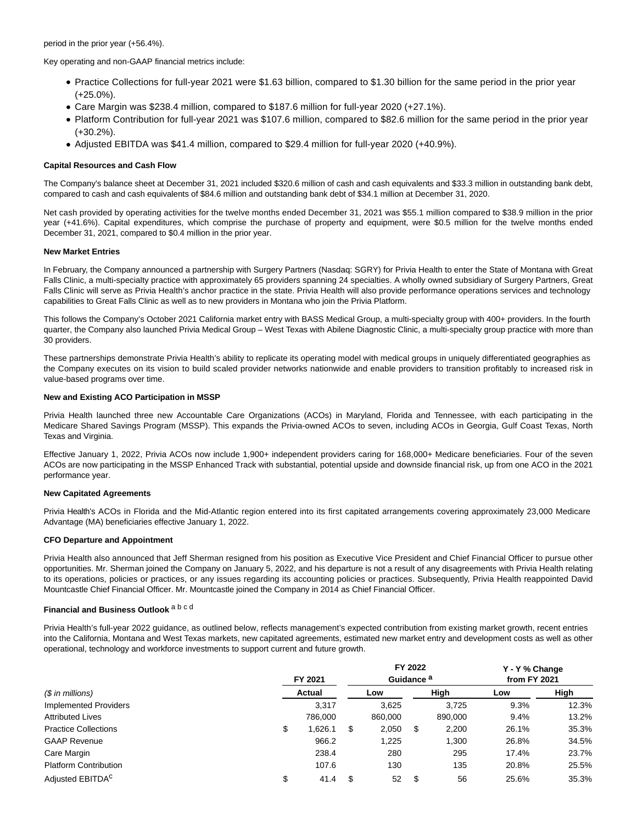period in the prior year (+56.4%).

Key operating and non-GAAP financial metrics include:

- Practice Collections for full-year 2021 were \$1.63 billion, compared to \$1.30 billion for the same period in the prior year (+25.0%).
- Care Margin was \$238.4 million, compared to \$187.6 million for full-year 2020 (+27.1%).
- Platform Contribution for full-year 2021 was \$107.6 million, compared to \$82.6 million for the same period in the prior year (+30.2%).
- Adjusted EBITDA was \$41.4 million, compared to \$29.4 million for full-year 2020 (+40.9%).

### **Capital Resources and Cash Flow**

The Company's balance sheet at December 31, 2021 included \$320.6 million of cash and cash equivalents and \$33.3 million in outstanding bank debt, compared to cash and cash equivalents of \$84.6 million and outstanding bank debt of \$34.1 million at December 31, 2020.

Net cash provided by operating activities for the twelve months ended December 31, 2021 was \$55.1 million compared to \$38.9 million in the prior year (+41.6%). Capital expenditures, which comprise the purchase of property and equipment, were \$0.5 million for the twelve months ended December 31, 2021, compared to \$0.4 million in the prior year.

#### **New Market Entries**

In February, the Company announced a partnership with Surgery Partners (Nasdaq: SGRY) for Privia Health to enter the State of Montana with Great Falls Clinic, a multi-specialty practice with approximately 65 providers spanning 24 specialties. A wholly owned subsidiary of Surgery Partners, Great Falls Clinic will serve as Privia Health's anchor practice in the state. Privia Health will also provide performance operations services and technology capabilities to Great Falls Clinic as well as to new providers in Montana who join the Privia Platform.

This follows the Company's October 2021 California market entry with BASS Medical Group, a multi-specialty group with 400+ providers. In the fourth quarter, the Company also launched Privia Medical Group – West Texas with Abilene Diagnostic Clinic, a multi-specialty group practice with more than 30 providers.

These partnerships demonstrate Privia Health's ability to replicate its operating model with medical groups in uniquely differentiated geographies as the Company executes on its vision to build scaled provider networks nationwide and enable providers to transition profitably to increased risk in value-based programs over time.

### **New and Existing ACO Participation in MSSP**

Privia Health launched three new Accountable Care Organizations (ACOs) in Maryland, Florida and Tennessee, with each participating in the Medicare Shared Savings Program (MSSP). This expands the Privia-owned ACOs to seven, including ACOs in Georgia, Gulf Coast Texas, North Texas and Virginia.

Effective January 1, 2022, Privia ACOs now include 1,900+ independent providers caring for 168,000+ Medicare beneficiaries. Four of the seven ACOs are now participating in the MSSP Enhanced Track with substantial, potential upside and downside financial risk, up from one ACO in the 2021 performance year.

### **New Capitated Agreements**

Privia Health's ACOs in Florida and the Mid-Atlantic region entered into its first capitated arrangements covering approximately 23,000 Medicare Advantage (MA) beneficiaries effective January 1, 2022.

#### **CFO Departure and Appointment**

Privia Health also announced that Jeff Sherman resigned from his position as Executive Vice President and Chief Financial Officer to pursue other opportunities. Mr. Sherman joined the Company on January 5, 2022, and his departure is not a result of any disagreements with Privia Health relating to its operations, policies or practices, or any issues regarding its accounting policies or practices. Subsequently, Privia Health reappointed David Mountcastle Chief Financial Officer. Mr. Mountcastle joined the Company in 2014 as Chief Financial Officer.

## **Financial and Business Outlook** a b c d

Privia Health's full-year 2022 guidance, as outlined below, reflects management's expected contribution from existing market growth, recent entries into the California, Montana and West Texas markets, new capitated agreements, estimated new market entry and development costs as well as other operational, technology and workforce investments to support current and future growth.

|                                   |    | FY 2022<br>Guidance <sup>a</sup><br>FY 2021 |    |         |    |         | Y - Y % Change<br>from FY 2021 |       |  |
|-----------------------------------|----|---------------------------------------------|----|---------|----|---------|--------------------------------|-------|--|
| $(S \in \mathbb{R})$ in millions) |    | Actual                                      |    | Low     |    | High    | Low                            | High  |  |
| <b>Implemented Providers</b>      |    | 3.317                                       |    | 3,625   |    | 3.725   | 9.3%                           | 12.3% |  |
| <b>Attributed Lives</b>           |    | 786.000                                     |    | 860,000 |    | 890,000 | 9.4%                           | 13.2% |  |
| <b>Practice Collections</b>       | \$ | 1,626.1                                     | \$ | 2,050   | \$ | 2,200   | 26.1%                          | 35.3% |  |
| <b>GAAP Revenue</b>               |    | 966.2                                       |    | 1,225   |    | 1,300   | 26.8%                          | 34.5% |  |
| Care Margin                       |    | 238.4                                       |    | 280     |    | 295     | 17.4%                          | 23.7% |  |
| <b>Platform Contribution</b>      |    | 107.6                                       |    | 130     |    | 135     | 20.8%                          | 25.5% |  |
| Adjusted EBITDA <sup>C</sup>      | \$ | 41.4                                        | S. | 52      | \$ | 56      | 25.6%                          | 35.3% |  |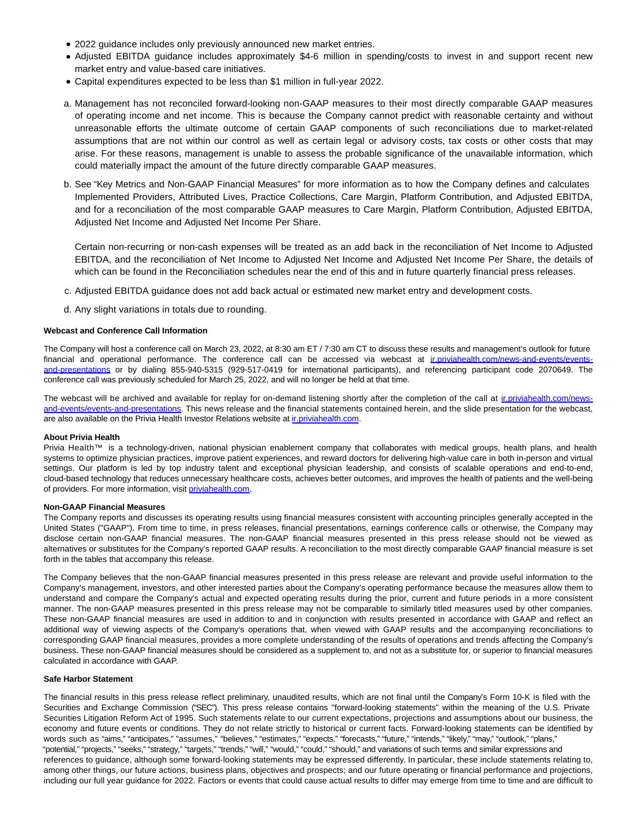- 2022 guidance includes only previously announced new market entries.
- Adjusted EBITDA guidance includes approximately \$4-6 million in spending/costs to invest in and support recent new market entry and value-based care initiatives.
- Capital expenditures expected to be less than \$1 million in full-year 2022.
- Management has not reconciled forward-looking non-GAAP measures to their most directly comparable GAAP measures a. of operating income and net income. This is because the Company cannot predict with reasonable certainty and without unreasonable efforts the ultimate outcome of certain GAAP components of such reconciliations due to market-related assumptions that are not within our control as well as certain legal or advisory costs, tax costs or other costs that may arise. For these reasons, management is unable to assess the probable significance of the unavailable information, which could materially impact the amount of the future directly comparable GAAP measures.
- b. See "Key Metrics and Non-GAAP Financial Measures" for more information as to how the Company defines and calculates Implemented Providers, Attributed Lives, Practice Collections, Care Margin, Platform Contribution, and Adjusted EBITDA, and for a reconciliation of the most comparable GAAP measures to Care Margin, Platform Contribution, Adjusted EBITDA, Adjusted Net Income and Adjusted Net Income Per Share.

Certain non-recurring or non-cash expenses will be treated as an add back in the reconciliation of Net Income to Adjusted EBITDA, and the reconciliation of Net Income to Adjusted Net Income and Adjusted Net Income Per Share, the details of which can be found in the Reconciliation schedules near the end of this and in future quarterly financial press releases.

- c. Adjusted EBITDA guidance does not add back actual or estimated new market entry and development costs.
- d. Any slight variations in totals due to rounding.

### **Webcast and Conference Call Information**

The Company will host a conference call on March 23, 2022, at 8:30 am ET / 7:30 am CT to discuss these results and management's outlook for future financial and operational performance. The conference call can be accessed via webcast at in.priviahealth.com/news-and-events/eventsand-presentations or by dialing 855-940-5315 (929-517-0419 for international participants), and referencing participant code 2070649. The conference call was previously scheduled for March 25, 2022, and will no longer be held at that time.

The webcast will be archived and available for replay for on-demand listening shortly after the completion of the call at inpriviahealth.com/newsand-events/events-and-presentations. This news release and the financial statements contained herein, and the slide presentation for the webcast, are also available on the Privia Health Investor Relations website at [ir.priviahealth.com.](https://www.globenewswire.com/Tracker?data=mvWy2krqSgL3sxWlCOk2JsjTVdQPsLgr_7JpKz8Ucp_Xp6oNTLftbhNTbOZGqfc1d3fUOEnb5uCtmuqbsZ-C-r4-EnjQcixXhpfzjRuCbGE=)

#### **About Privia Health**

Privia Health™ is a technology-driven, national physician enablement company that collaborates with medical groups, health plans, and health systems to optimize physician practices, improve patient experiences, and reward doctors for delivering high-value care in both in-person and virtual settings. Our platform is led by top industry talent and exceptional physician leadership, and consists of scalable operations and end-to-end, cloud-based technology that reduces unnecessary healthcare costs, achieves better outcomes, and improves the health of patients and the well-being of providers. For more information, visit [priviahealth.com.](https://www.globenewswire.com/Tracker?data=fUoLW2m4Yv2WsS2uTsXMH7Q2NGuMuyDQ5p9NNWgCT7Qfx6Xr6_EnmCI6Gmtdoo5twNx-Q_-E_48kIzJ1q4WuOJiHrZjnHqLQEojmoLB6eLI=)

#### **Non-GAAP Financial Measures**

The Company reports and discusses its operating results using financial measures consistent with accounting principles generally accepted in the United States ("GAAP"). From time to time, in press releases, financial presentations, earnings conference calls or otherwise, the Company may disclose certain non-GAAP financial measures. The non-GAAP financial measures presented in this press release should not be viewed as alternatives or substitutes for the Company's reported GAAP results. A reconciliation to the most directly comparable GAAP financial measure is set forth in the tables that accompany this release.

The Company believes that the non-GAAP financial measures presented in this press release are relevant and provide useful information to the Company's management, investors, and other interested parties about the Company's operating performance because the measures allow them to understand and compare the Company's actual and expected operating results during the prior, current and future periods in a more consistent manner. The non-GAAP measures presented in this press release may not be comparable to similarly titled measures used by other companies. These non-GAAP financial measures are used in addition to and in conjunction with results presented in accordance with GAAP and reflect an additional way of viewing aspects of the Company's operations that, when viewed with GAAP results and the accompanying reconciliations to corresponding GAAP financial measures, provides a more complete understanding of the results of operations and trends affecting the Company's business. These non-GAAP financial measures should be considered as a supplement to, and not as a substitute for, or superior to financial measures calculated in accordance with GAAP.

#### **Safe Harbor Statement**

The financial results in this press release reflect preliminary, unaudited results, which are not final until the Company's Form 10-K is filed with the Securities and Exchange Commission ("SEC"). This press release contains "forward-looking statements" within the meaning of the U.S. Private Securities Litigation Reform Act of 1995. Such statements relate to our current expectations, projections and assumptions about our business, the economy and future events or conditions. They do not relate strictly to historical or current facts. Forward-looking statements can be identified by words such as "aims," "anticipates," "assumes," "believes," "estimates," "expects," "forecasts," "future," "intends," "likely," "may," "outlook," "plans," "potential," "projects," "seeks," "strategy," "targets," "trends," "will," "would," "could," "should," and variations of such terms and similar expressions and references to guidance, although some forward-looking statements may be expressed differently. In particular, these include statements relating to, among other things, our future actions, business plans, objectives and prospects; and our future operating or financial performance and projections, including our full year guidance for 2022. Factors or events that could cause actual results to differ may emerge from time to time and are difficult to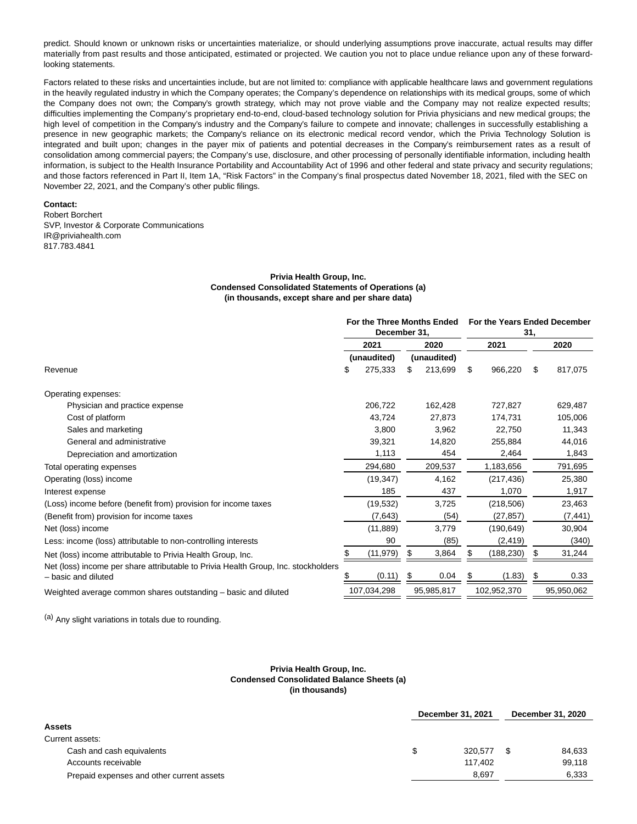predict. Should known or unknown risks or uncertainties materialize, or should underlying assumptions prove inaccurate, actual results may differ materially from past results and those anticipated, estimated or projected. We caution you not to place undue reliance upon any of these forwardlooking statements.

Factors related to these risks and uncertainties include, but are not limited to: compliance with applicable healthcare laws and government regulations in the heavily regulated industry in which the Company operates; the Company's dependence on relationships with its medical groups, some of which the Company does not own; the Company's growth strategy, which may not prove viable and the Company may not realize expected results; difficulties implementing the Company's proprietary end-to-end, cloud-based technology solution for Privia physicians and new medical groups; the high level of competition in the Company's industry and the Company's failure to compete and innovate; challenges in successfully establishing a presence in new geographic markets; the Company's reliance on its electronic medical record vendor, which the Privia Technology Solution is integrated and built upon; changes in the payer mix of patients and potential decreases in the Company's reimbursement rates as a result of consolidation among commercial payers; the Company's use, disclosure, and other processing of personally identifiable information, including health information, is subject to the Health Insurance Portability and Accountability Act of 1996 and other federal and state privacy and security regulations; and those factors referenced in Part II, Item 1A, "Risk Factors" in the Company's final prospectus dated November 18, 2021, filed with the SEC on November 22, 2021, and the Company's other public filings.

### **Contact:**

Robert Borchert SVP, Investor & Corporate Communications IR@priviahealth.com 817.783.4841

### **Privia Health Group, Inc. Condensed Consolidated Statements of Operations (a) (in thousands, except share and per share data)**

|                                                                                                           | For the Three Months Ended<br>December 31, |     | For the Years Ended December<br>31, |      |             |      |            |
|-----------------------------------------------------------------------------------------------------------|--------------------------------------------|-----|-------------------------------------|------|-------------|------|------------|
|                                                                                                           | 2021                                       |     | 2020                                | 2021 |             | 2020 |            |
|                                                                                                           | (unaudited)                                |     | (unaudited)                         |      |             |      |            |
| Revenue                                                                                                   | \$<br>275,333                              | \$  | 213,699                             | \$   | 966,220     | \$   | 817,075    |
| Operating expenses:                                                                                       |                                            |     |                                     |      |             |      |            |
| Physician and practice expense                                                                            | 206,722                                    |     | 162,428                             |      | 727.827     |      | 629,487    |
| Cost of platform                                                                                          | 43.724                                     |     | 27.873                              |      | 174,731     |      | 105,006    |
| Sales and marketing                                                                                       | 3,800                                      |     | 3,962                               |      | 22.750      |      | 11,343     |
| General and administrative                                                                                | 39,321                                     |     | 14,820                              |      | 255,884     |      | 44,016     |
| Depreciation and amortization                                                                             | 1,113                                      |     | 454                                 |      | 2,464       |      | 1,843      |
| Total operating expenses                                                                                  | 294,680                                    |     | 209,537                             |      | 1,183,656   |      | 791,695    |
| Operating (loss) income                                                                                   | (19, 347)                                  |     | 4,162                               |      | (217, 436)  |      | 25,380     |
| Interest expense                                                                                          | 185                                        |     | 437                                 |      | 1,070       |      | 1,917      |
| (Loss) income before (benefit from) provision for income taxes                                            | (19, 532)                                  |     | 3,725                               |      | (218, 506)  |      | 23,463     |
| (Benefit from) provision for income taxes                                                                 | (7,643)                                    |     | (54)                                |      | (27, 857)   |      | (7, 441)   |
| Net (loss) income                                                                                         | (11, 889)                                  |     | 3,779                               |      | (190, 649)  |      | 30,904     |
| Less: income (loss) attributable to non-controlling interests                                             | 90                                         |     | (85)                                |      | (2, 419)    |      | (340)      |
| Net (loss) income attributable to Privia Health Group, Inc.                                               | (11, 979)                                  | \$. | 3,864                               | S    | (188, 230)  | S    | 31,244     |
| Net (loss) income per share attributable to Privia Health Group, Inc. stockholders<br>- basic and diluted | (0.11)                                     |     | 0.04                                | S    | (1.83)      | S    | 0.33       |
| Weighted average common shares outstanding – basic and diluted                                            | 107,034,298                                |     | 95,985,817                          |      | 102,952,370 |      | 95,950,062 |

(a) Any slight variations in totals due to rounding.

#### **Privia Health Group, Inc. Condensed Consolidated Balance Sheets (a) (in thousands)**

|                                           | December 31, 2021 | December 31, 2020 |        |  |
|-------------------------------------------|-------------------|-------------------|--------|--|
| Assets                                    |                   |                   |        |  |
| Current assets:                           |                   |                   |        |  |
| Cash and cash equivalents                 | 320.577           |                   | 84.633 |  |
| Accounts receivable                       | 117.402           |                   | 99.118 |  |
| Prepaid expenses and other current assets | 8.697             |                   | 6,333  |  |
|                                           |                   |                   |        |  |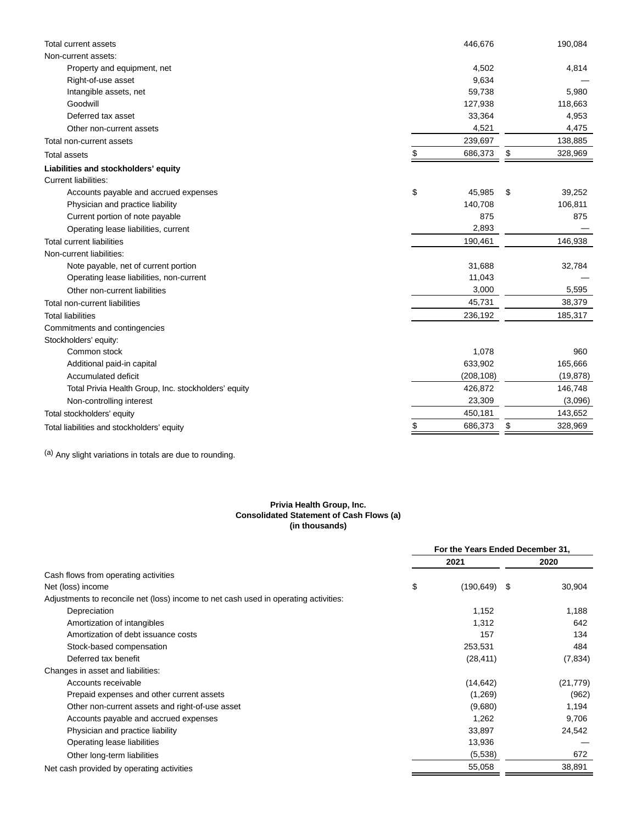| <b>Total current assets</b>                          | 446,676       | 190,084       |
|------------------------------------------------------|---------------|---------------|
| Non-current assets:                                  |               |               |
| Property and equipment, net                          | 4,502         | 4,814         |
| Right-of-use asset                                   | 9,634         |               |
| Intangible assets, net                               | 59,738        | 5,980         |
| Goodwill                                             | 127,938       | 118,663       |
| Deferred tax asset                                   | 33,364        | 4,953         |
| Other non-current assets                             | 4,521         | 4,475         |
| Total non-current assets                             | 239,697       | 138,885       |
| <b>Total assets</b>                                  | \$<br>686,373 | \$<br>328,969 |
| Liabilities and stockholders' equity                 |               |               |
| <b>Current liabilities:</b>                          |               |               |
| Accounts payable and accrued expenses                | \$<br>45,985  | \$<br>39,252  |
| Physician and practice liability                     | 140,708       | 106,811       |
| Current portion of note payable                      | 875           | 875           |
| Operating lease liabilities, current                 | 2,893         |               |
| <b>Total current liabilities</b>                     | 190,461       | 146,938       |
| Non-current liabilities:                             |               |               |
| Note payable, net of current portion                 | 31,688        | 32,784        |
| Operating lease liabilities, non-current             | 11,043        |               |
| Other non-current liabilities                        | 3,000         | 5,595         |
| Total non-current liabilities                        | 45,731        | 38,379        |
| <b>Total liabilities</b>                             | 236,192       | 185,317       |
| Commitments and contingencies                        |               |               |
| Stockholders' equity:                                |               |               |
| Common stock                                         | 1,078         | 960           |
| Additional paid-in capital                           | 633,902       | 165,666       |
| Accumulated deficit                                  | (208, 108)    | (19, 878)     |
| Total Privia Health Group, Inc. stockholders' equity | 426,872       | 146,748       |
| Non-controlling interest                             | 23,309        | (3,096)       |
| Total stockholders' equity                           | 450,181       | 143,652       |
| Total liabilities and stockholders' equity           | 686,373       | \$<br>328,969 |

(a) Any slight variations in totals are due to rounding.

#### **Privia Health Group, Inc. Consolidated Statement of Cash Flows (a) (in thousands)**

|                                                                                      | For the Years Ended December 31,<br>2021<br>2020<br>\$<br>(190, 649)<br>- \$<br>1,152<br>1,312<br>157<br>253,531<br>(28, 411)<br>(14, 642)<br>(1,269)<br>(9,680)<br>1,262 |         |  |           |
|--------------------------------------------------------------------------------------|---------------------------------------------------------------------------------------------------------------------------------------------------------------------------|---------|--|-----------|
|                                                                                      |                                                                                                                                                                           |         |  |           |
| Cash flows from operating activities                                                 |                                                                                                                                                                           |         |  |           |
| Net (loss) income                                                                    |                                                                                                                                                                           |         |  | 30,904    |
| Adjustments to reconcile net (loss) income to net cash used in operating activities: |                                                                                                                                                                           |         |  |           |
| Depreciation                                                                         |                                                                                                                                                                           |         |  | 1,188     |
| Amortization of intangibles                                                          |                                                                                                                                                                           |         |  | 642       |
| Amortization of debt issuance costs                                                  |                                                                                                                                                                           |         |  | 134       |
| Stock-based compensation                                                             |                                                                                                                                                                           |         |  | 484       |
| Deferred tax benefit                                                                 |                                                                                                                                                                           |         |  | (7, 834)  |
| Changes in asset and liabilities:                                                    |                                                                                                                                                                           |         |  |           |
| Accounts receivable                                                                  |                                                                                                                                                                           |         |  | (21, 779) |
| Prepaid expenses and other current assets                                            |                                                                                                                                                                           |         |  | (962)     |
| Other non-current assets and right-of-use asset                                      |                                                                                                                                                                           |         |  | 1,194     |
| Accounts payable and accrued expenses                                                |                                                                                                                                                                           |         |  | 9,706     |
| Physician and practice liability                                                     |                                                                                                                                                                           | 33,897  |  | 24,542    |
| Operating lease liabilities                                                          |                                                                                                                                                                           | 13,936  |  |           |
| Other long-term liabilities                                                          |                                                                                                                                                                           | (5,538) |  | 672       |
| Net cash provided by operating activities                                            |                                                                                                                                                                           | 55,058  |  | 38,891    |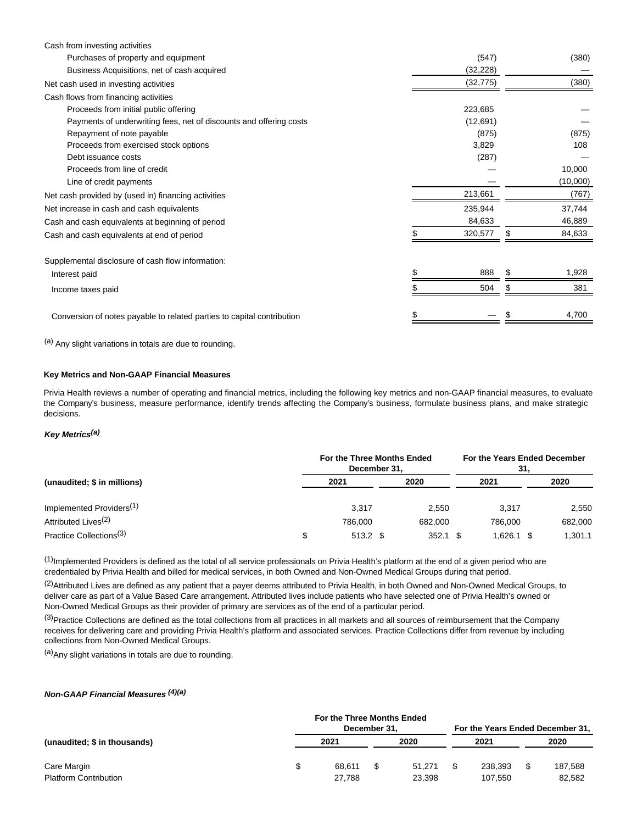| Cash from investing activities                                         |           |    |          |
|------------------------------------------------------------------------|-----------|----|----------|
| Purchases of property and equipment                                    | (547)     |    | (380)    |
| Business Acquisitions, net of cash acquired                            | (32, 228) |    |          |
| Net cash used in investing activities                                  | (32, 775) |    | (380)    |
| Cash flows from financing activities                                   |           |    |          |
| Proceeds from initial public offering                                  | 223,685   |    |          |
| Payments of underwriting fees, net of discounts and offering costs     | (12,691)  |    |          |
| Repayment of note payable                                              | (875)     |    | (875)    |
| Proceeds from exercised stock options                                  | 3,829     |    | 108      |
| Debt issuance costs                                                    | (287)     |    |          |
| Proceeds from line of credit                                           |           |    | 10,000   |
| Line of credit payments                                                |           |    | (10,000) |
| Net cash provided by (used in) financing activities                    | 213,661   |    | (767)    |
| Net increase in cash and cash equivalents                              | 235,944   |    | 37,744   |
| Cash and cash equivalents at beginning of period                       | 84,633    |    | 46,889   |
| Cash and cash equivalents at end of period                             | 320,577   | \$ | 84,633   |
| Supplemental disclosure of cash flow information:                      |           |    |          |
| Interest paid                                                          | 888       |    | 1,928    |
| Income taxes paid                                                      | 504       | S  | 381      |
|                                                                        |           |    |          |
| Conversion of notes payable to related parties to capital contribution |           |    | 4,700    |
|                                                                        |           |    |          |

(a) Any slight variations in totals are due to rounding.

### **Key Metrics and Non-GAAP Financial Measures**

Privia Health reviews a number of operating and financial metrics, including the following key metrics and non-GAAP financial measures, to evaluate the Company's business, measure performance, identify trends affecting the Company's business, formulate business plans, and make strategic decisions.

### **Key Metrics(a)**

| (unaudited; \$ in millions)          | For the Three Months Ended<br>December 31. |  |         |  |            |  | For the Years Ended December<br>31. |  |  |
|--------------------------------------|--------------------------------------------|--|---------|--|------------|--|-------------------------------------|--|--|
|                                      | 2021                                       |  | 2020    |  | 2021       |  | 2020                                |  |  |
| Implemented Providers <sup>(1)</sup> | 3.317                                      |  | 2.550   |  | 3.317      |  | 2,550                               |  |  |
| Attributed Lives <sup>(2)</sup>      | 786.000                                    |  | 682.000 |  | 786.000    |  | 682,000                             |  |  |
| Practice Collections <sup>(3)</sup>  | $513.2$ \$                                 |  | 352.1   |  | 1.626.1 \$ |  | 1.301.1                             |  |  |

 $(1)$ Implemented Providers is defined as the total of all service professionals on Privia Health's platform at the end of a given period who are credentialed by Privia Health and billed for medical services, in both Owned and Non-Owned Medical Groups during that period.

(2) Attributed Lives are defined as any patient that a payer deems attributed to Privia Health, in both Owned and Non-Owned Medical Groups, to deliver care as part of a Value Based Care arrangement. Attributed lives include patients who have selected one of Privia Health's owned or Non-Owned Medical Groups as their provider of primary are services as of the end of a particular period.

 $(3)$ Practice Collections are defined as the total collections from all practices in all markets and all sources of reimbursement that the Company receives for delivering care and providing Privia Health's platform and associated services. Practice Collections differ from revenue by including collections from Non-Owned Medical Groups.

(a)Any slight variations in totals are due to rounding.

### **Non-GAAP Financial Measures (4)(a)**

| (unaudited; \$ in thousands) | For the Three Months Ended | For the Years Ended December 31. |  |        |     |         |  |         |
|------------------------------|----------------------------|----------------------------------|--|--------|-----|---------|--|---------|
|                              | 2021                       |                                  |  | 2020   |     | 2021    |  | 2020    |
| Care Margin                  |                            | 68.611                           |  | 51.271 | \$. | 238.393 |  | 187,588 |
| <b>Platform Contribution</b> |                            | 27.788                           |  | 23.398 |     | 107.550 |  | 82.582  |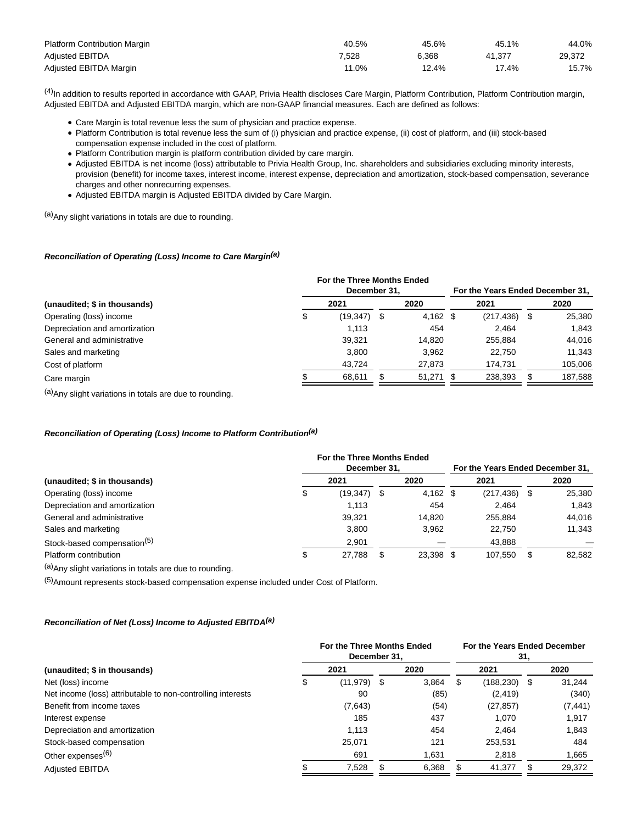| <b>Platform Contribution Margin</b> | 40.5% | 45.6% | 45.1%    | 44.0%  |
|-------------------------------------|-------|-------|----------|--------|
| <b>Adjusted EBITDA</b>              | 1.528 | 6.368 | 41.377   | 29,372 |
| Adjusted EBITDA Margin              | 11.0% | 12.4% | $17.4\%$ | 15.7%  |

(4)In addition to results reported in accordance with GAAP, Privia Health discloses Care Margin, Platform Contribution, Platform Contribution margin, Adjusted EBITDA and Adjusted EBITDA margin, which are non-GAAP financial measures. Each are defined as follows:

- Care Margin is total revenue less the sum of physician and practice expense.
- Platform Contribution is total revenue less the sum of (i) physician and practice expense, (ii) cost of platform, and (iii) stock-based compensation expense included in the cost of platform.
- Platform Contribution margin is platform contribution divided by care margin.
- Adjusted EBITDA is net income (loss) attributable to Privia Health Group, Inc. shareholders and subsidiaries excluding minority interests, provision (benefit) for income taxes, interest income, interest expense, depreciation and amortization, stock-based compensation, severance charges and other nonrecurring expenses.
- Adjusted EBITDA margin is Adjusted EBITDA divided by Care Margin.

(a)Any slight variations in totals are due to rounding.

### **Reconciliation of Operating (Loss) Income to Care Margin(a)**

| (unaudited; \$ in thousands)  | For the Three Months Ended | For the Years Ended December 31, |            |  |            |     |         |
|-------------------------------|----------------------------|----------------------------------|------------|--|------------|-----|---------|
|                               |                            | 2021                             | 2020       |  | 2021       |     | 2020    |
| Operating (loss) income       | Φ                          | (19,347) \$                      | $4,162$ \$ |  | (217, 436) | - 5 | 25,380  |
| Depreciation and amortization |                            | 1.113                            | 454        |  | 2.464      |     | 1,843   |
| General and administrative    |                            | 39,321                           | 14.820     |  | 255.884    |     | 44,016  |
| Sales and marketing           |                            | 3.800                            | 3.962      |  | 22.750     |     | 11,343  |
| Cost of platform              |                            | 43.724                           | 27.873     |  | 174.731    |     | 105,006 |
| Care margin                   |                            | 68,611                           | 51.271 \$  |  | 238,393    |     | 187,588 |
| $\left(\alpha\right)$         |                            |                                  |            |  |            |     |         |

(a) Any slight variations in totals are due to rounding.

### **Reconciliation of Operating (Loss) Income to Platform Contribution(a)**

| (unaudited; \$ in thousands)            | For the Three Months Ended<br>December 31, | For the Years Ended December 31, |            |  |            |     |        |
|-----------------------------------------|--------------------------------------------|----------------------------------|------------|--|------------|-----|--------|
|                                         | 2021                                       |                                  | 2020       |  | 2021       |     | 2020   |
| Operating (loss) income                 | $(19,347)$ \$                              |                                  | $4,162$ \$ |  | (217, 436) | \$  | 25,380 |
| Depreciation and amortization           | 1.113                                      |                                  | 454        |  | 2.464      |     | 1.843  |
| General and administrative              | 39.321                                     |                                  | 14.820     |  | 255.884    |     | 44,016 |
| Sales and marketing                     | 3.800                                      |                                  | 3.962      |  | 22.750     |     | 11,343 |
| Stock-based compensation <sup>(5)</sup> | 2.901                                      |                                  |            |  | 43,888     |     |        |
| Platform contribution                   | 27,788                                     | S                                | 23.398 \$  |  | 107.550    | \$. | 82,582 |

(a)Any slight variations in totals are due to rounding.

(5)Amount represents stock-based compensation expense included under Cost of Platform.

### **Reconciliation of Net (Loss) Income to Adjusted EBITDA(a)**

|                                                             | For the Three Months Ended<br>December 31. |  | For the Years Ended December<br>31. |   |            |    |          |
|-------------------------------------------------------------|--------------------------------------------|--|-------------------------------------|---|------------|----|----------|
| (unaudited; \$ in thousands)                                | 2021                                       |  | 2020                                |   | 2021       |    | 2020     |
| Net (loss) income                                           | \$<br>$(11.979)$ \$                        |  | 3.864                               | S | (188, 230) | \$ | 31.244   |
| Net income (loss) attributable to non-controlling interests | 90                                         |  | (85)                                |   | (2, 419)   |    | (340)    |
| Benefit from income taxes                                   | (7,643)                                    |  | (54)                                |   | (27, 857)  |    | (7, 441) |
| Interest expense                                            | 185                                        |  | 437                                 |   | 1.070      |    | 1,917    |
| Depreciation and amortization                               | 1.113                                      |  | 454                                 |   | 2.464      |    | 1,843    |
| Stock-based compensation                                    | 25,071                                     |  | 121                                 |   | 253,531    |    | 484      |
| Other expenses <sup>(6)</sup>                               | 691                                        |  | 1,631                               |   | 2,818      |    | 1,665    |
| <b>Adjusted EBITDA</b>                                      | 7,528                                      |  | 6,368                               |   | 41,377     |    | 29,372   |